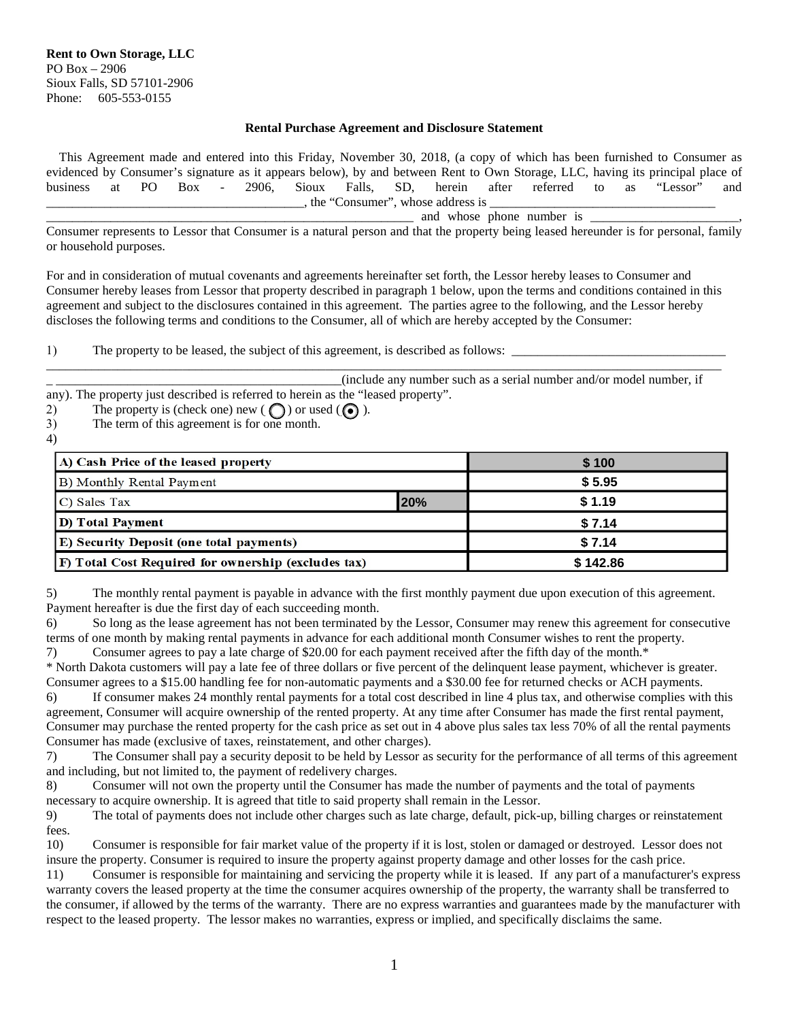## **Rental Purchase Agreement and Disclosure Statement**

 This Agreement made and entered into this Friday, November 30, 2018, (a copy of which has been furnished to Consumer as evidenced by Consumer's signature as it appears below), by and between Rent to Own Storage, LLC, having its principal place of business at PO Box - 2906, Sioux Falls, SD, herein after referred to as "Lessor" and . the "Consumer", whose address is

 $\Box$  and whose phone number is  $\Box$ 

Consumer represents to Lessor that Consumer is a natural person and that the property being leased hereunder is for personal, family or household purposes.

For and in consideration of mutual covenants and agreements hereinafter set forth, the Lessor hereby leases to Consumer and Consumer hereby leases from Lessor that property described in paragraph 1 below, upon the terms and conditions contained in this agreement and subject to the disclosures contained in this agreement. The parties agree to the following, and the Lessor hereby discloses the following terms and conditions to the Consumer, all of which are hereby accepted by the Consumer:

1) The property to be leased, the subject of this agreement, is described as follows:

 (include any number such as a serial number and/or model number, if any). The property just described is referred to herein as the "leased property".

\_\_\_\_\_\_\_\_\_\_\_\_\_\_\_\_\_\_\_\_\_\_\_\_\_\_\_\_\_\_\_\_\_\_\_\_\_\_\_\_\_\_\_\_\_\_\_\_\_\_\_\_\_\_\_\_\_\_\_\_\_\_\_\_\_\_\_\_\_\_\_\_\_\_\_\_\_\_\_\_\_\_\_\_\_\_\_\_\_\_\_\_\_\_\_\_\_\_\_\_\_\_\_\_

- 2) The property is (check one) new  $\left(\bigodot\right)$  or used  $\left(\bigodot\right)$ .
- 3) The term of this agreement is for one month.
- 4)

| A) Cash Price of the leased property                |     | \$100    |
|-----------------------------------------------------|-----|----------|
| B) Monthly Rental Payment                           |     | \$5.95   |
| C) Sales Tax                                        | 20% | \$1.19   |
| D) Total Payment                                    |     | \$7.14   |
| <b>E) Security Deposit (one total payments)</b>     |     | \$7.14   |
| F) Total Cost Required for ownership (excludes tax) |     | \$142.86 |

5) The monthly rental payment is payable in advance with the first monthly payment due upon execution of this agreement. Payment hereafter is due the first day of each succeeding month.

6) So long as the lease agreement has not been terminated by the Lessor, Consumer may renew this agreement for consecutive terms of one month by making rental payments in advance for each additional month Consumer wishes to rent the property. 7) Consumer agrees to pay a late charge of \$20.00 for each payment received after the fifth day of the month.\*

\* North Dakota customers will pay a late fee of three dollars or five percent of the delinquent lease payment, whichever is greater. Consumer agrees to a \$15.00 handling fee for non-automatic payments and a \$30.00 fee for returned checks or ACH payments.

If consumer makes 24 monthly rental payments for a total cost described in line 4 plus tax, and otherwise complies with this agreement, Consumer will acquire ownership of the rented property. At any time after Consumer has made the first rental payment, Consumer may purchase the rented property for the cash price as set out in 4 above plus sales tax less 70% of all the rental payments Consumer has made (exclusive of taxes, reinstatement, and other charges).

7) The Consumer shall pay a security deposit to be held by Lessor as security for the performance of all terms of this agreement and including, but not limited to, the payment of redelivery charges.

8) Consumer will not own the property until the Consumer has made the number of payments and the total of payments necessary to acquire ownership. It is agreed that title to said property shall remain in the Lessor.

9) The total of payments does not include other charges such as late charge, default, pick-up, billing charges or reinstatement fees.

10) Consumer is responsible for fair market value of the property if it is lost, stolen or damaged or destroyed. Lessor does not insure the property. Consumer is required to insure the property against property damage and other losses for the cash price.

11) Consumer is responsible for maintaining and servicing the property while it is leased. If any part of a manufacturer's express warranty covers the leased property at the time the consumer acquires ownership of the property, the warranty shall be transferred to the consumer, if allowed by the terms of the warranty. There are no express warranties and guarantees made by the manufacturer with respect to the leased property. The lessor makes no warranties, express or implied, and specifically disclaims the same.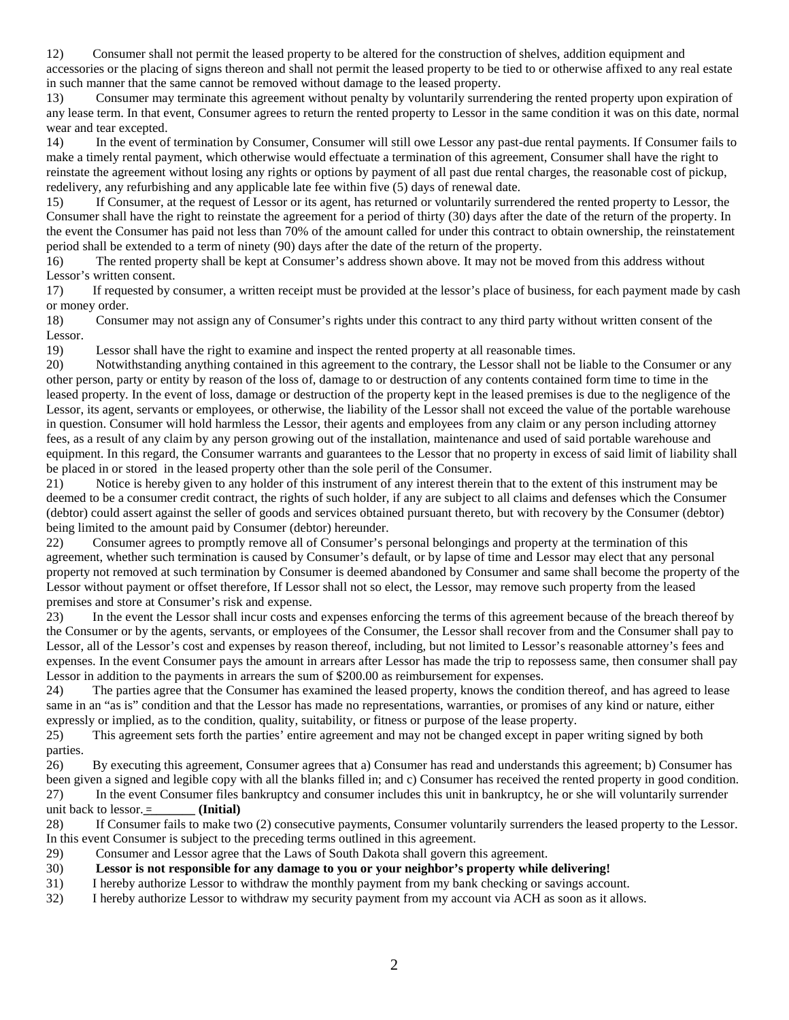12) Consumer shall not permit the leased property to be altered for the construction of shelves, addition equipment and accessories or the placing of signs thereon and shall not permit the leased property to be tied to or otherwise affixed to any real estate in such manner that the same cannot be removed without damage to the leased property.

13) Consumer may terminate this agreement without penalty by voluntarily surrendering the rented property upon expiration of any lease term. In that event, Consumer agrees to return the rented property to Lessor in the same condition it was on this date, normal wear and tear excepted.

14) In the event of termination by Consumer, Consumer will still owe Lessor any past-due rental payments. If Consumer fails to make a timely rental payment, which otherwise would effectuate a termination of this agreement, Consumer shall have the right to reinstate the agreement without losing any rights or options by payment of all past due rental charges, the reasonable cost of pickup, redelivery, any refurbishing and any applicable late fee within five (5) days of renewal date.

15) If Consumer, at the request of Lessor or its agent, has returned or voluntarily surrendered the rented property to Lessor, the Consumer shall have the right to reinstate the agreement for a period of thirty (30) days after the date of the return of the property. In the event the Consumer has paid not less than 70% of the amount called for under this contract to obtain ownership, the reinstatement period shall be extended to a term of ninety (90) days after the date of the return of the property.

16) The rented property shall be kept at Consumer's address shown above. It may not be moved from this address without

Lessor's written consent.<br>17) If requested by c If requested by consumer, a written receipt must be provided at the lessor's place of business, for each payment made by cash or money order.

18) Consumer may not assign any of Consumer's rights under this contract to any third party without written consent of the Lessor.

19) Lessor shall have the right to examine and inspect the rented property at all reasonable times.

20) Notwithstanding anything contained in this agreement to the contrary, the Lessor shall not be liable to the Consumer or any other person, party or entity by reason of the loss of, damage to or destruction of any contents contained form time to time in the leased property. In the event of loss, damage or destruction of the property kept in the leased premises is due to the negligence of the Lessor, its agent, servants or employees, or otherwise, the liability of the Lessor shall not exceed the value of the portable warehouse in question. Consumer will hold harmless the Lessor, their agents and employees from any claim or any person including attorney fees, as a result of any claim by any person growing out of the installation, maintenance and used of said portable warehouse and equipment. In this regard, the Consumer warrants and guarantees to the Lessor that no property in excess of said limit of liability shall be placed in or stored in the leased property other than the sole peril of the Consumer.

21) Notice is hereby given to any holder of this instrument of any interest therein that to the extent of this instrument may be deemed to be a consumer credit contract, the rights of such holder, if any are subject to all claims and defenses which the Consumer (debtor) could assert against the seller of goods and services obtained pursuant thereto, but with recovery by the Consumer (debtor) being limited to the amount paid by Consumer (debtor) hereunder.

22) Consumer agrees to promptly remove all of Consumer's personal belongings and property at the termination of this agreement, whether such termination is caused by Consumer's default, or by lapse of time and Lessor may elect that any personal property not removed at such termination by Consumer is deemed abandoned by Consumer and same shall become the property of the Lessor without payment or offset therefore, If Lessor shall not so elect, the Lessor, may remove such property from the leased premises and store at Consumer's risk and expense.

23) In the event the Lessor shall incur costs and expenses enforcing the terms of this agreement because of the breach thereof by the Consumer or by the agents, servants, or employees of the Consumer, the Lessor shall recover from and the Consumer shall pay to Lessor, all of the Lessor's cost and expenses by reason thereof, including, but not limited to Lessor's reasonable attorney's fees and expenses. In the event Consumer pays the amount in arrears after Lessor has made the trip to repossess same, then consumer shall pay Lessor in addition to the payments in arrears the sum of \$200.00 as reimbursement for expenses.

24) The parties agree that the Consumer has examined the leased property, knows the condition thereof, and has agreed to lease same in an "as is" condition and that the Lessor has made no representations, warranties, or promises of any kind or nature, either expressly or implied, as to the condition, quality, suitability, or fitness or purpose of the lease property.

25) This agreement sets forth the parties' entire agreement and may not be changed except in paper writing signed by both parties.

26) By executing this agreement, Consumer agrees that a) Consumer has read and understands this agreement; b) Consumer has been given a signed and legible copy with all the blanks filled in; and c) Consumer has received the rented property in good condition. 27) In the event Consumer files bankruptcy and consumer includes this unit in bankruptcy, he or she will voluntarily surrender

unit back to  $lessor.$   $\equiv$  \_\_\_\_\_\_\_\_ (**Initial**)

28) If Consumer fails to make two (2) consecutive payments, Consumer voluntarily surrenders the leased property to the Lessor. In this event Consumer is subject to the preceding terms outlined in this agreement.

29) Consumer and Lessor agree that the Laws of South Dakota shall govern this agreement.

30) **Lessor is not responsible for any damage to you or your neighbor's property while delivering!**

31) I hereby authorize Lessor to withdraw the monthly payment from my bank checking or savings account.

32) I hereby authorize Lessor to withdraw my security payment from my account via ACH as soon as it allows.